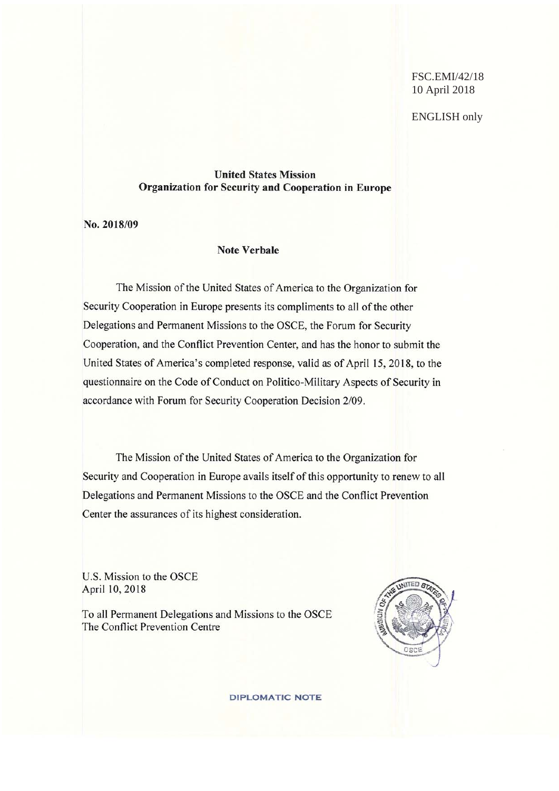FSC.EMI/42/18 10 April 2018

ENGLISH only

# **United States Mission** Organization for Security and Cooperation in Europe

No. 2018/09

#### **Note Verbale**

The Mission of the United States of America to the Organization for Security Cooperation in Europe presents its compliments to all of the other Delegations and Permanent Missions to the OSCE, the Forum for Security Cooperation, and the Conflict Prevention Center, and has the honor to submit the United States of America's completed response, valid as of April 15, 2018, to the questionnaire on the Code of Conduct on Politico-Military Aspects of Security in accordance with Forum for Security Cooperation Decision 2/09.

The Mission of the United States of America to the Organization for Security and Cooperation in Europe avails itself of this opportunity to renew to all Delegations and Permanent Missions to the OSCE and the Conflict Prevention Center the assurances of its highest consideration.

U.S. Mission to the OSCE April 10, 2018

To all Permanent Delegations and Missions to the OSCE The Conflict Prevention Centre



**DIPLOMATIC NOTE**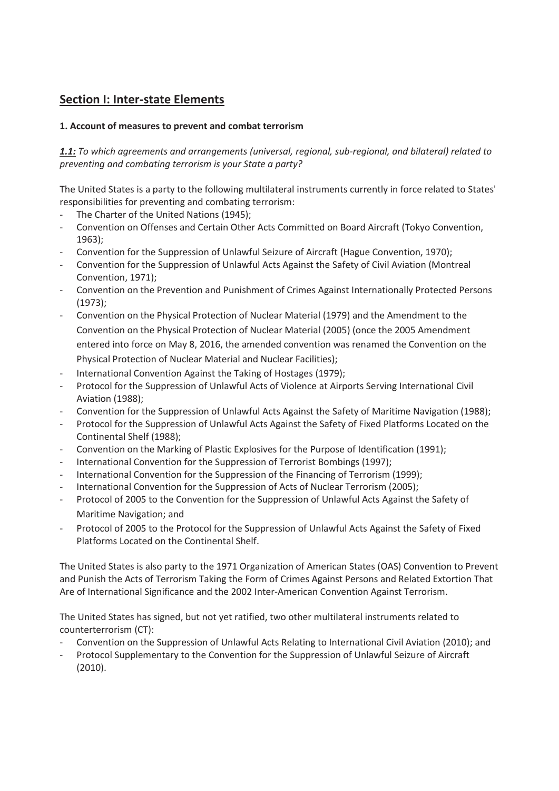# **Section I: Inter-state Elements**

# **1. Account of measures to prevent and combat terrorism**

*1.1: To which agreements and arrangements (universal, regional, sub-regional, and bilateral) related to preventing and combating terrorism is your State a party?* 

The United States is a party to the following multilateral instruments currently in force related to States' responsibilities for preventing and combating terrorism:

- The Charter of the United Nations (1945);
- Convention on Offenses and Certain Other Acts Committed on Board Aircraft (Tokyo Convention, 1963);
- Convention for the Suppression of Unlawful Seizure of Aircraft (Hague Convention, 1970);
- Convention for the Suppression of Unlawful Acts Against the Safety of Civil Aviation (Montreal Convention, 1971);
- Convention on the Prevention and Punishment of Crimes Against Internationally Protected Persons (1973);
- Convention on the Physical Protection of Nuclear Material (1979) and the Amendment to the Convention on the Physical Protection of Nuclear Material (2005) (once the 2005 Amendment entered into force on May 8, 2016, the amended convention was renamed the Convention on the Physical Protection of Nuclear Material and Nuclear Facilities);
- International Convention Against the Taking of Hostages (1979);
- Protocol for the Suppression of Unlawful Acts of Violence at Airports Serving International Civil Aviation (1988);
- Convention for the Suppression of Unlawful Acts Against the Safety of Maritime Navigation (1988);
- Protocol for the Suppression of Unlawful Acts Against the Safety of Fixed Platforms Located on the Continental Shelf (1988);
- Convention on the Marking of Plastic Explosives for the Purpose of Identification (1991);
- International Convention for the Suppression of Terrorist Bombings (1997);
- International Convention for the Suppression of the Financing of Terrorism (1999);
- International Convention for the Suppression of Acts of Nuclear Terrorism (2005);
- Protocol of 2005 to the Convention for the Suppression of Unlawful Acts Against the Safety of Maritime Navigation; and
- Protocol of 2005 to the Protocol for the Suppression of Unlawful Acts Against the Safety of Fixed Platforms Located on the Continental Shelf.

The United States is also party to the 1971 Organization of American States (OAS) Convention to Prevent and Punish the Acts of Terrorism Taking the Form of Crimes Against Persons and Related Extortion That Are of International Significance and the 2002 Inter-American Convention Against Terrorism.

The United States has signed, but not yet ratified, two other multilateral instruments related to counterterrorism (CT):

- Convention on the Suppression of Unlawful Acts Relating to International Civil Aviation (2010); and
- Protocol Supplementary to the Convention for the Suppression of Unlawful Seizure of Aircraft (2010).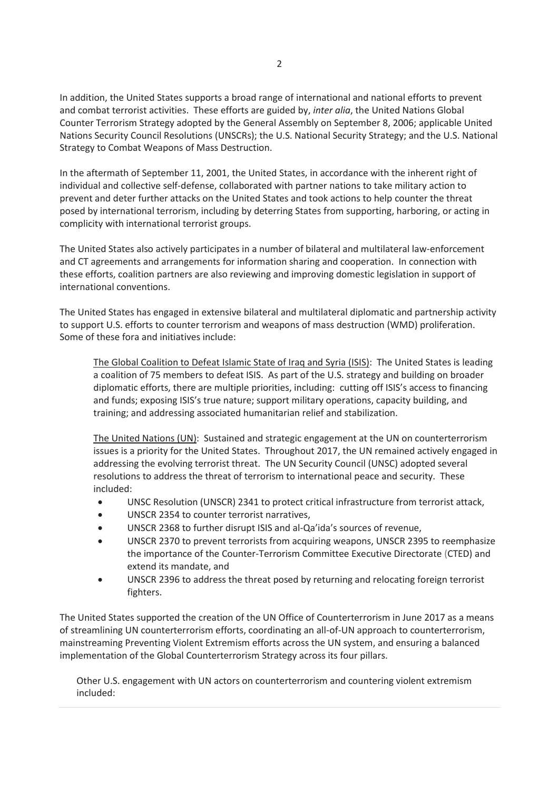In addition, the United States supports a broad range of international and national efforts to prevent and combat terrorist activities. These efforts are guided by, *inter alia*, the United Nations Global Counter Terrorism Strategy adopted by the General Assembly on September 8, 2006; applicable United Nations Security Council Resolutions (UNSCRs); the U.S. National Security Strategy; and the U.S. National Strategy to Combat Weapons of Mass Destruction.

In the aftermath of September 11, 2001, the United States, in accordance with the inherent right of individual and collective self-defense, collaborated with partner nations to take military action to prevent and deter further attacks on the United States and took actions to help counter the threat posed by international terrorism, including by deterring States from supporting, harboring, or acting in complicity with international terrorist groups.

The United States also actively participates in a number of bilateral and multilateral law-enforcement and CT agreements and arrangements for information sharing and cooperation. In connection with these efforts, coalition partners are also reviewing and improving domestic legislation in support of international conventions.

The United States has engaged in extensive bilateral and multilateral diplomatic and partnership activity to support U.S. efforts to counter terrorism and weapons of mass destruction (WMD) proliferation. Some of these fora and initiatives include:

The Global Coalition to Defeat Islamic State of Iraq and Syria (ISIS): The United States is leading a coalition of 75 members to defeat ISIS. As part of the U.S. strategy and building on broader diplomatic efforts, there are multiple priorities, including: cutting off ISIS's access to financing and funds; exposing ISIS's true nature; support military operations, capacity building, and training; and addressing associated humanitarian relief and stabilization.

The United Nations (UN): Sustained and strategic engagement at the UN on counterterrorism issues is a priority for the United States. Throughout 2017, the UN remained actively engaged in addressing the evolving terrorist threat. The UN Security Council (UNSC) adopted several resolutions to address the threat of terrorism to international peace and security. These included:

- x UNSC Resolution (UNSCR) 2341 to protect critical infrastructure from terrorist attack,
- UNSCR 2354 to counter terrorist narratives,
- UNSCR 2368 to further disrupt ISIS and al-Qa'ida's sources of revenue,
- UNSCR 2370 to prevent terrorists from acquiring weapons, UNSCR 2395 to reemphasize the importance of the Counter-Terrorism Committee Executive Directorate (CTED) and extend its mandate, and
- UNSCR 2396 to address the threat posed by returning and relocating foreign terrorist fighters.

The United States supported the creation of the UN Office of Counterterrorism in June 2017 as a means of streamlining UN counterterrorism efforts, coordinating an all-of-UN approach to counterterrorism, mainstreaming Preventing Violent Extremism efforts across the UN system, and ensuring a balanced implementation of the Global Counterterrorism Strategy across its four pillars.

Other U.S. engagement with UN actors on counterterrorism and countering violent extremism included: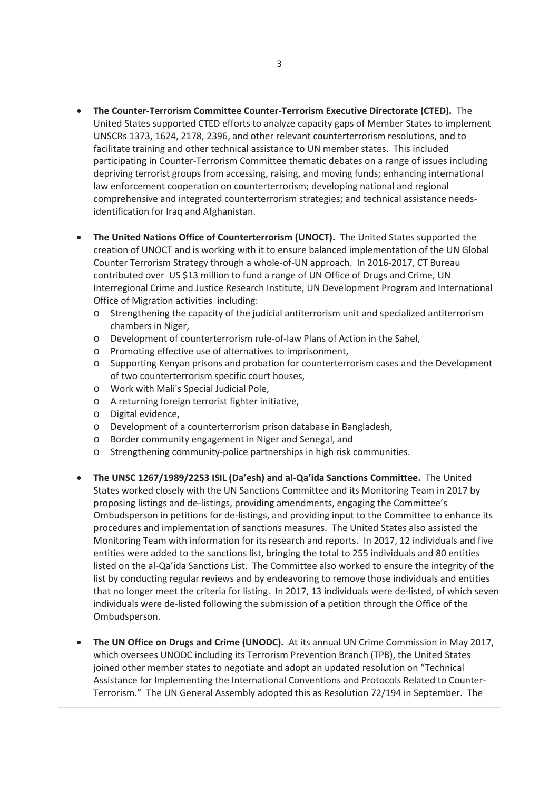- **The Counter-Terrorism Committee Counter-Terrorism Executive Directorate (CTED).** The United States supported CTED efforts to analyze capacity gaps of Member States to implement UNSCRs 1373, 1624, 2178, 2396, and other relevant counterterrorism resolutions, and to facilitate training and other technical assistance to UN member states. This included participating in Counter-Terrorism Committee thematic debates on a range of issues including depriving terrorist groups from accessing, raising, and moving funds; enhancing international law enforcement cooperation on counterterrorism; developing national and regional comprehensive and integrated counterterrorism strategies; and technical assistance needsidentification for Iraq and Afghanistan.
- **The United Nations Office of Counterterrorism (UNOCT).** The United States supported the creation of UNOCT and is working with it to ensure balanced implementation of the UN Global Counter Terrorism Strategy through a whole-of-UN approach. In 2016-2017, CT Bureau contributed over US \$13 million to fund a range of UN Office of Drugs and Crime, UN Interregional Crime and Justice Research Institute, UN Development Program and International Office of Migration activities including:
	- o Strengthening the capacity of the judicial antiterrorism unit and specialized antiterrorism chambers in Niger,
	- o Development of counterterrorism rule-of-law Plans of Action in the Sahel,
	- o Promoting effective use of alternatives to imprisonment,
	- o Supporting Kenyan prisons and probation for counterterrorism cases and the Development of two counterterrorism specific court houses,
	- o Work with Mali's Special Judicial Pole,
	- o A returning foreign terrorist fighter initiative,
	- o Digital evidence,
	- o Development of a counterterrorism prison database in Bangladesh,
	- o Border community engagement in Niger and Senegal, and
	- o Strengthening community-police partnerships in high risk communities.
- x **The UNSC 1267/1989/2253 ISIL (Da'esh) and al-Qa'ida Sanctions Committee.** The United States worked closely with the UN Sanctions Committee and its Monitoring Team in 2017 by proposing listings and de-listings, providing amendments, engaging the Committee's Ombudsperson in petitions for de-listings, and providing input to the Committee to enhance its procedures and implementation of sanctions measures. The United States also assisted the Monitoring Team with information for its research and reports. In 2017, 12 individuals and five entities were added to the sanctions list, bringing the total to 255 individuals and 80 entities listed on the al-Qa'ida Sanctions List. The Committee also worked to ensure the integrity of the list by conducting regular reviews and by endeavoring to remove those individuals and entities that no longer meet the criteria for listing. In 2017, 13 individuals were de-listed, of which seven individuals were de-listed following the submission of a petition through the Office of the Ombudsperson.
- x **The UN Office on Drugs and Crime (UNODC).** At its annual UN Crime Commission in May 2017, which oversees UNODC including its Terrorism Prevention Branch (TPB), the United States joined other member states to negotiate and adopt an updated resolution on "Technical Assistance for Implementing the International Conventions and Protocols Related to Counter-Terrorism." The UN General Assembly adopted this as Resolution 72/194 in September. The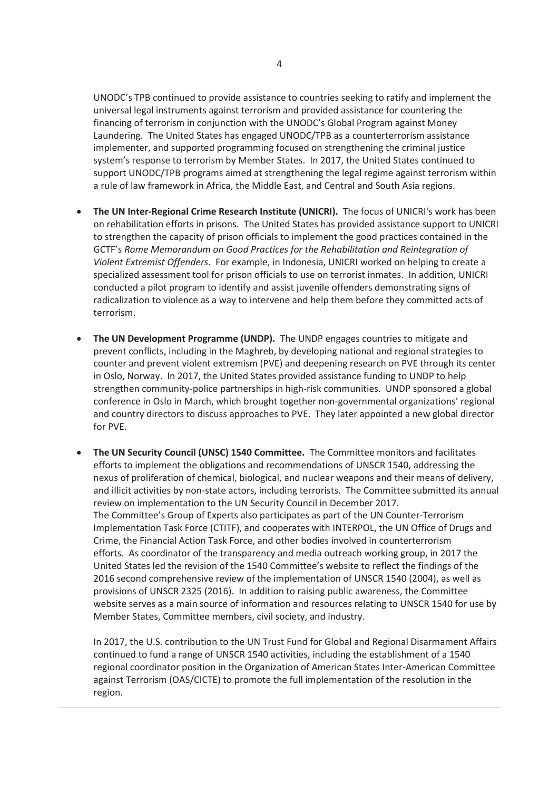UNODC's TPB continued to provide assistance to countries seeking to ratify and implement the universal legal instruments against terrorism and provided assistance for countering the financing of terrorism in conjunction with the UNODC's Global Program against Money Laundering. The United States has engaged UNODC/TPB as a counterterrorism assistance implementer, and supported programming focused on strengthening the criminal justice system's response to terrorism by Member States. In 2017, the United States continued to support UNODC/TPB programs aimed at strengthening the legal regime against terrorism within a rule of law framework in Africa, the Middle East, and Central and South Asia regions.

- **The UN Inter-Regional Crime Research Institute (UNICRI).** The focus of UNICRI's work has been on rehabilitation efforts in prisons. The United States has provided assistance support to UNICRI to strengthen the capacity of prison officials to implement the good practices contained in the GCTF's *Rome Memorandum on Good Practices for the Rehabilitation and Reintegration of Violent Extremist Offenders*. For example, in Indonesia, UNICRI worked on helping to create a specialized assessment tool for prison officials to use on terrorist inmates. In addition, UNICRI conducted a pilot program to identify and assist juvenile offenders demonstrating signs of radicalization to violence as a way to intervene and help them before they committed acts of terrorism.
- **The UN Development Programme (UNDP).** The UNDP engages countries to mitigate and prevent conflicts, including in the Maghreb, by developing national and regional strategies to counter and prevent violent extremism (PVE) and deepening research on PVE through its center in Oslo, Norway. In 2017, the United States provided assistance funding to UNDP to help strengthen community-police partnerships in high-risk communities. UNDP sponsored a global conference in Oslo in March, which brought together non-governmental organizations' regional and country directors to discuss approaches to PVE. They later appointed a new global director for PVE.
- **The UN Security Council (UNSC) 1540 Committee.** The Committee monitors and facilitates efforts to implement the obligations and recommendations of UNSCR 1540, addressing the nexus of proliferation of chemical, biological, and nuclear weapons and their means of delivery, and illicit activities by non-state actors, including terrorists. The Committee submitted its annual review on implementation to the UN Security Council in December 2017. The Committee's Group of Experts also participates as part of the UN Counter-Terrorism Implementation Task Force (CTITF), and cooperates with INTERPOL, the UN Office of Drugs and Crime, the Financial Action Task Force, and other bodies involved in counterterrorism efforts. As coordinator of the transparency and media outreach working group, in 2017 the United States led the revision of the 1540 Committee's website to reflect the findings of the 2016 second comprehensive review of the implementation of UNSCR 1540 (2004), as well as provisions of UNSCR 2325 (2016). In addition to raising public awareness, the Committee website serves as a main source of information and resources relating to UNSCR 1540 for use by Member States, Committee members, civil society, and industry.

In 2017, the U.S. contribution to the UN Trust Fund for Global and Regional Disarmament Affairs continued to fund a range of UNSCR 1540 activities, including the establishment of a 1540 regional coordinator position in the Organization of American States Inter-American Committee against Terrorism (OAS/CICTE) to promote the full implementation of the resolution in the region.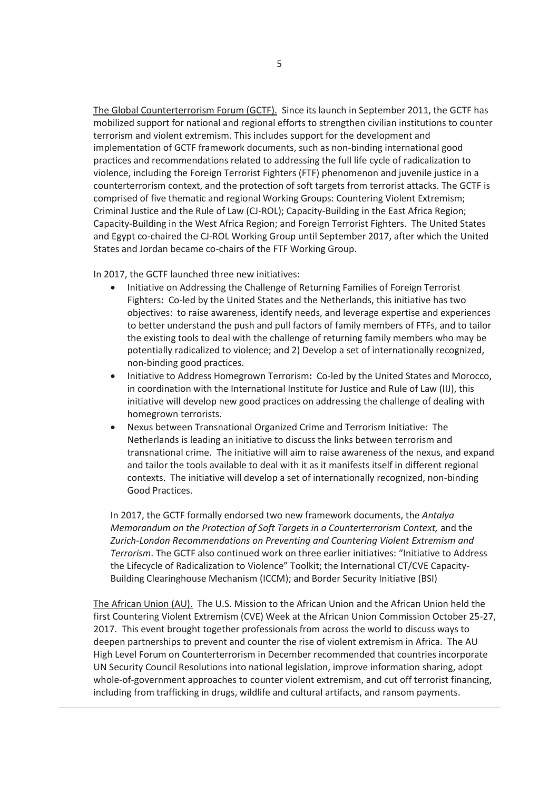The Global Counterterrorism Forum (GCTF).Since its launch in September 2011, the GCTF has mobilized support for national and regional efforts to strengthen civilian institutions to counter terrorism and violent extremism. This includes support for the development and implementation of GCTF framework documents, such as non-binding international good practices and recommendations related to addressing the full life cycle of radicalization to violence, including the Foreign Terrorist Fighters (FTF) phenomenon and juvenile justice in a counterterrorism context, and the protection of soft targets from terrorist attacks. The GCTF is comprised of five thematic and regional Working Groups: Countering Violent Extremism; Criminal Justice and the Rule of Law (CJ-ROL); Capacity-Building in the East Africa Region; Capacity-Building in the West Africa Region; and Foreign Terrorist Fighters. The United States and Egypt co-chaired the CJ-ROL Working Group until September 2017, after which the United States and Jordan became co-chairs of the FTF Working Group.

In 2017, the GCTF launched three new initiatives:

- Initiative on Addressing the Challenge of Returning Families of Foreign Terrorist Fighters**:** Co-led by the United States and the Netherlands, this initiative has two objectives: to raise awareness, identify needs, and leverage expertise and experiences to better understand the push and pull factors of family members of FTFs, and to tailor the existing tools to deal with the challenge of returning family members who may be potentially radicalized to violence; and 2) Develop a set of internationally recognized, non-binding good practices.
- x Initiative to Address Homegrown Terrorism**:** Co-led by the United States and Morocco, in coordination with the International Institute for Justice and Rule of Law (IIJ), this initiative will develop new good practices on addressing the challenge of dealing with homegrown terrorists.
- x Nexus between Transnational Organized Crime and Terrorism Initiative: The Netherlands is leading an initiative to discuss the links between terrorism and transnational crime. The initiative will aim to raise awareness of the nexus, and expand and tailor the tools available to deal with it as it manifests itself in different regional contexts. The initiative will develop a set of internationally recognized, non-binding Good Practices.

In 2017, the GCTF formally endorsed two new framework documents, the *Antalya Memorandum on the Protection of Soft Targets in a Counterterrorism Context,* and the *Zurich-London Recommendations on Preventing and Countering Violent Extremism and Terrorism*. The GCTF also continued work on three earlier initiatives: "Initiative to Address the Lifecycle of Radicalization to Violence" Toolkit; the International CT/CVE Capacity-Building Clearinghouse Mechanism (ICCM); and Border Security Initiative (BSI)

The African Union (AU). The U.S. Mission to the African Union and the African Union held the first Countering Violent Extremism (CVE) Week at the African Union Commission October 25-27, 2017. This event brought together professionals from across the world to discuss ways to deepen partnerships to prevent and counter the rise of violent extremism in Africa. The AU High Level Forum on Counterterrorism in December recommended that countries incorporate UN Security Council Resolutions into national legislation, improve information sharing, adopt whole-of-government approaches to counter violent extremism, and cut off terrorist financing, including from trafficking in drugs, wildlife and cultural artifacts, and ransom payments.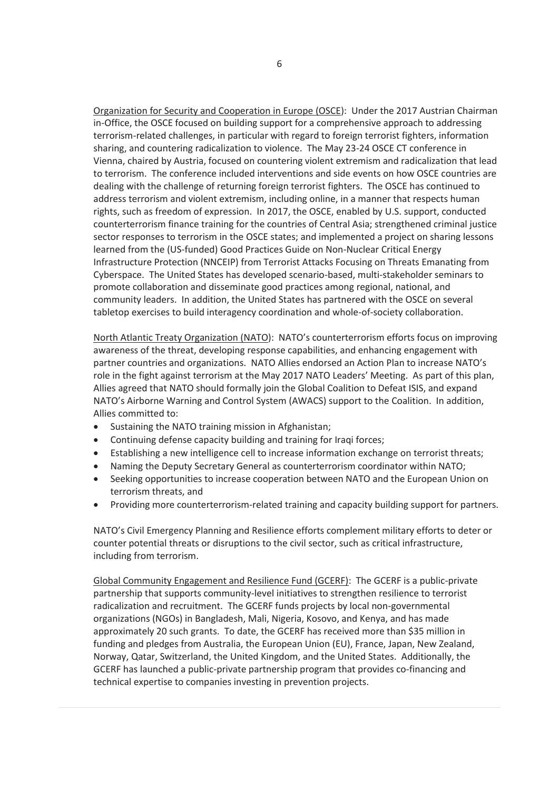Organization for Security and Cooperation in Europe (OSCE): Under the 2017 Austrian Chairman in-Office, the OSCE focused on building support for a comprehensive approach to addressing terrorism-related challenges, in particular with regard to foreign terrorist fighters, information sharing, and countering radicalization to violence. The May 23-24 OSCE CT conference in Vienna, chaired by Austria, focused on countering violent extremism and radicalization that lead to terrorism. The conference included interventions and side events on how OSCE countries are dealing with the challenge of returning foreign terrorist fighters. The OSCE has continued to address terrorism and violent extremism, including online, in a manner that respects human rights, such as freedom of expression. In 2017, the OSCE, enabled by U.S. support, conducted counterterrorism finance training for the countries of Central Asia; strengthened criminal justice sector responses to terrorism in the OSCE states; and implemented a project on sharing lessons learned from the (US-funded) Good Practices Guide on Non-Nuclear Critical Energy Infrastructure Protection (NNCEIP) from Terrorist Attacks Focusing on Threats Emanating from Cyberspace. The United States has developed scenario-based, multi-stakeholder seminars to promote collaboration and disseminate good practices among regional, national, and community leaders. In addition, the United States has partnered with the OSCE on several tabletop exercises to build interagency coordination and whole-of-society collaboration.

North Atlantic Treaty Organization (NATO): NATO's counterterrorism efforts focus on improving awareness of the threat, developing response capabilities, and enhancing engagement with partner countries and organizations. NATO Allies endorsed an Action Plan to increase NATO's role in the fight against terrorism at the May 2017 NATO Leaders' Meeting. As part of this plan, Allies agreed that NATO should formally join the Global Coalition to Defeat ISIS, and expand NATO's Airborne Warning and Control System (AWACS) support to the Coalition. In addition, Allies committed to:

- Sustaining the NATO training mission in Afghanistan;
- Continuing defense capacity building and training for Iraqi forces;
- Establishing a new intelligence cell to increase information exchange on terrorist threats;
- Naming the Deputy Secretary General as counterterrorism coordinator within NATO;
- Seeking opportunities to increase cooperation between NATO and the European Union on terrorism threats, and
- Providing more counterterrorism-related training and capacity building support for partners.

NATO's Civil Emergency Planning and Resilience efforts complement military efforts to deter or counter potential threats or disruptions to the civil sector, such as critical infrastructure, including from terrorism.

Global Community Engagement and Resilience Fund (GCERF): The GCERF is a public-private partnership that supports community-level initiatives to strengthen resilience to terrorist radicalization and recruitment. The GCERF funds projects by local non-governmental organizations (NGOs) in Bangladesh, Mali, Nigeria, Kosovo, and Kenya, and has made approximately 20 such grants. To date, the GCERF has received more than \$35 million in funding and pledges from Australia, the European Union (EU), France, Japan, New Zealand, Norway, Qatar, Switzerland, the United Kingdom, and the United States. Additionally, the GCERF has launched a public-private partnership program that provides co-financing and technical expertise to companies investing in prevention projects.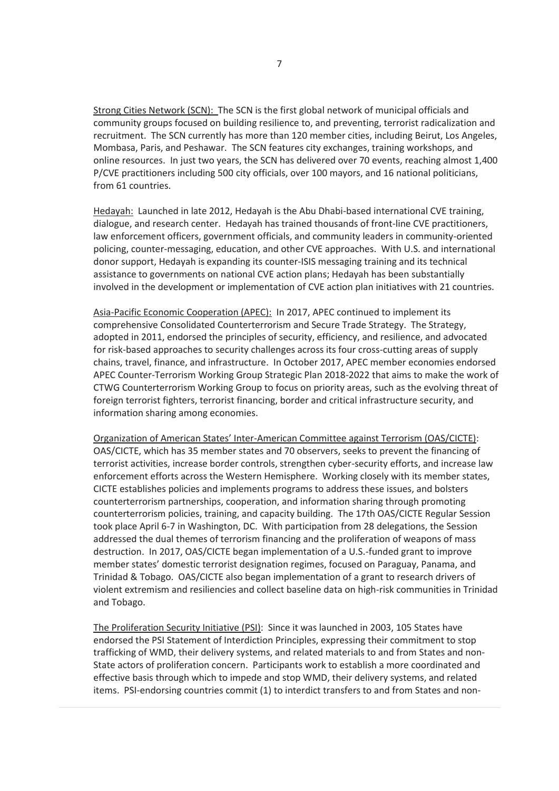Strong Cities Network (SCN): The SCN is the first global network of municipal officials and community groups focused on building resilience to, and preventing, terrorist radicalization and recruitment. The SCN currently has more than 120 member cities, including Beirut, Los Angeles, Mombasa, Paris, and Peshawar. The SCN features city exchanges, training workshops, and online resources. In just two years, the SCN has delivered over 70 events, reaching almost 1,400 P/CVE practitioners including 500 city officials, over 100 mayors, and 16 national politicians, from 61 countries.

Hedayah: Launched in late 2012, Hedayah is the Abu Dhabi-based international CVE training, dialogue, and research center. Hedayah has trained thousands of front-line CVE practitioners, law enforcement officers, government officials, and community leaders in community-oriented policing, counter-messaging, education, and other CVE approaches. With U.S. and international donor support, Hedayah is expanding its counter-ISIS messaging training and its technical assistance to governments on national CVE action plans; Hedayah has been substantially involved in the development or implementation of CVE action plan initiatives with 21 countries.

Asia-Pacific Economic Cooperation (APEC): In 2017, APEC continued to implement its comprehensive Consolidated Counterterrorism and Secure Trade Strategy. The Strategy, adopted in 2011, endorsed the principles of security, efficiency, and resilience, and advocated for risk-based approaches to security challenges across its four cross-cutting areas of supply chains, travel, finance, and infrastructure. In October 2017, APEC member economies endorsed APEC Counter-Terrorism Working Group Strategic Plan 2018-2022 that aims to make the work of CTWG Counterterrorism Working Group to focus on priority areas, such as the evolving threat of foreign terrorist fighters, terrorist financing, border and critical infrastructure security, and information sharing among economies.

Organization of American States' Inter-American Committee against Terrorism (OAS/CICTE): OAS/CICTE, which has 35 member states and 70 observers, seeks to prevent the financing of terrorist activities, increase border controls, strengthen cyber-security efforts, and increase law enforcement efforts across the Western Hemisphere. Working closely with its member states, CICTE establishes policies and implements programs to address these issues, and bolsters counterterrorism partnerships, cooperation, and information sharing through promoting counterterrorism policies, training, and capacity building. The 17th OAS/CICTE Regular Session took place April 6-7 in Washington, DC. With participation from 28 delegations, the Session addressed the dual themes of terrorism financing and the proliferation of weapons of mass destruction. In 2017, OAS/CICTE began implementation of a U.S.-funded grant to improve member states' domestic terrorist designation regimes, focused on Paraguay, Panama, and Trinidad & Tobago. OAS/CICTE also began implementation of a grant to research drivers of violent extremism and resiliencies and collect baseline data on high-risk communities in Trinidad and Tobago.

The Proliferation Security Initiative (PSI): Since it was launched in 2003, 105 States have endorsed the PSI Statement of Interdiction Principles, expressing their commitment to stop trafficking of WMD, their delivery systems, and related materials to and from States and non-State actors of proliferation concern. Participants work to establish a more coordinated and effective basis through which to impede and stop WMD, their delivery systems, and related items. PSI-endorsing countries commit (1) to interdict transfers to and from States and non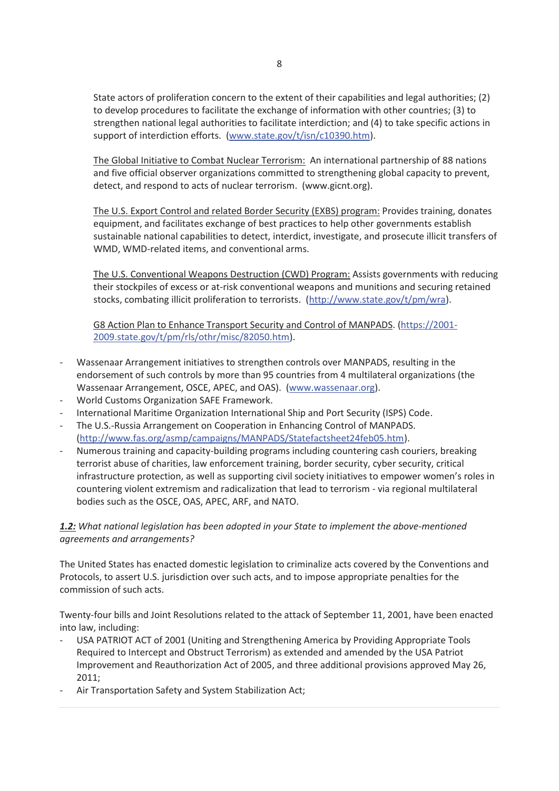State actors of proliferation concern to the extent of their capabilities and legal authorities; (2) to develop procedures to facilitate the exchange of information with other countries; (3) to strengthen national legal authorities to facilitate interdiction; and (4) to take specific actions in support of interdiction efforts. (www.state.gov/t/isn/c10390.htm).

The Global Initiative to Combat Nuclear Terrorism: An international partnership of 88 nations and five official observer organizations committed to strengthening global capacity to prevent, detect, and respond to acts of nuclear terrorism. (www.gicnt.org).

The U.S. Export Control and related Border Security (EXBS) program: Provides training, donates equipment, and facilitates exchange of best practices to help other governments establish sustainable national capabilities to detect, interdict, investigate, and prosecute illicit transfers of WMD, WMD-related items, and conventional arms.

The U.S. Conventional Weapons Destruction (CWD) Program: Assists governments with reducing their stockpiles of excess or at-risk conventional weapons and munitions and securing retained stocks, combating illicit proliferation to terrorists. (http://www.state.gov/t/pm/wra).

G8 Action Plan to Enhance Transport Security and Control of MANPADS. (https://2001- 2009.state.gov/t/pm/rls/othr/misc/82050.htm).

- Wassenaar Arrangement initiatives to strengthen controls over MANPADS, resulting in the endorsement of such controls by more than 95 countries from 4 multilateral organizations (the Wassenaar Arrangement, OSCE, APEC, and OAS). (www.wassenaar.org).
- World Customs Organization SAFE Framework.
- International Maritime Organization International Ship and Port Security (ISPS) Code.
- The U.S.-Russia Arrangement on Cooperation in Enhancing Control of MANPADS. (http://www.fas.org/asmp/campaigns/MANPADS/Statefactsheet24feb05.htm).
- Numerous training and capacity-building programs including countering cash couriers, breaking terrorist abuse of charities, law enforcement training, border security, cyber security, critical infrastructure protection, as well as supporting civil society initiatives to empower women's roles in countering violent extremism and radicalization that lead to terrorism - via regional multilateral bodies such as the OSCE, OAS, APEC, ARF, and NATO.

# *1.2: What national legislation has been adopted in your State to implement the above-mentioned agreements and arrangements?*

The United States has enacted domestic legislation to criminalize acts covered by the Conventions and Protocols, to assert U.S. jurisdiction over such acts, and to impose appropriate penalties for the commission of such acts.

Twenty-four bills and Joint Resolutions related to the attack of September 11, 2001, have been enacted into law, including:

- USA PATRIOT ACT of 2001 (Uniting and Strengthening America by Providing Appropriate Tools Required to Intercept and Obstruct Terrorism) as extended and amended by the USA Patriot Improvement and Reauthorization Act of 2005, and three additional provisions approved May 26, 2011;
- Air Transportation Safety and System Stabilization Act;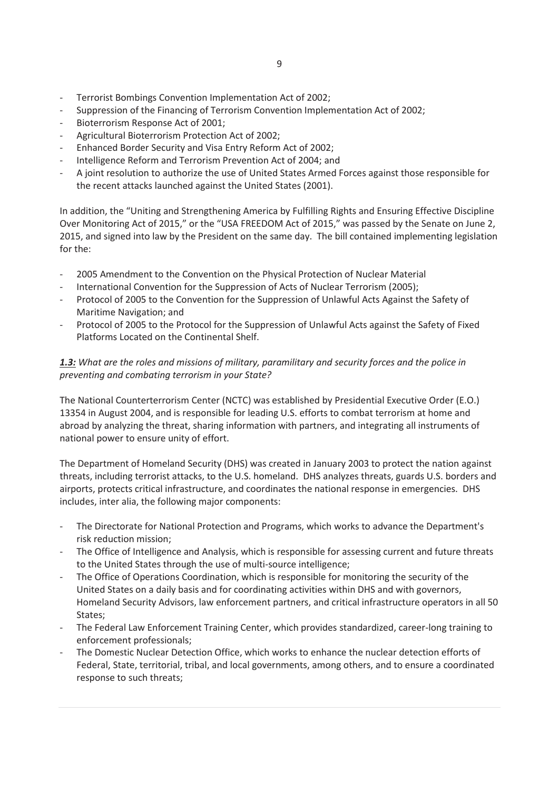- Terrorist Bombings Convention Implementation Act of 2002;
- Suppression of the Financing of Terrorism Convention Implementation Act of 2002;
- Bioterrorism Response Act of 2001;
- Agricultural Bioterrorism Protection Act of 2002;
- Enhanced Border Security and Visa Entry Reform Act of 2002;
- Intelligence Reform and Terrorism Prevention Act of 2004; and
- A joint resolution to authorize the use of United States Armed Forces against those responsible for the recent attacks launched against the United States (2001).

In addition, the "Uniting and Strengthening America by Fulfilling Rights and Ensuring Effective Discipline Over Monitoring Act of 2015," or the "USA FREEDOM Act of 2015," was passed by the Senate on June 2, 2015, and signed into law by the President on the same day. The bill contained implementing legislation for the:

- 2005 Amendment to the Convention on the Physical Protection of Nuclear Material
- International Convention for the Suppression of Acts of Nuclear Terrorism (2005);
- Protocol of 2005 to the Convention for the Suppression of Unlawful Acts Against the Safety of Maritime Navigation; and
- Protocol of 2005 to the Protocol for the Suppression of Unlawful Acts against the Safety of Fixed Platforms Located on the Continental Shelf.

#### *1.3: What are the roles and missions of military, paramilitary and security forces and the police in preventing and combating terrorism in your State?*

The National Counterterrorism Center (NCTC) was established by Presidential Executive Order (E.O.) 13354 in August 2004, and is responsible for leading U.S. efforts to combat terrorism at home and abroad by analyzing the threat, sharing information with partners, and integrating all instruments of national power to ensure unity of effort.

The Department of Homeland Security (DHS) was created in January 2003 to protect the nation against threats, including terrorist attacks, to the U.S. homeland. DHS analyzes threats, guards U.S. borders and airports, protects critical infrastructure, and coordinates the national response in emergencies. DHS includes, inter alia, the following major components:

- The Directorate for National Protection and Programs, which works to advance the Department's risk reduction mission;
- The Office of Intelligence and Analysis, which is responsible for assessing current and future threats to the United States through the use of multi-source intelligence;
- The Office of Operations Coordination, which is responsible for monitoring the security of the United States on a daily basis and for coordinating activities within DHS and with governors, Homeland Security Advisors, law enforcement partners, and critical infrastructure operators in all 50 States;
- The Federal Law Enforcement Training Center, which provides standardized, career-long training to enforcement professionals;
- The Domestic Nuclear Detection Office, which works to enhance the nuclear detection efforts of Federal, State, territorial, tribal, and local governments, among others, and to ensure a coordinated response to such threats;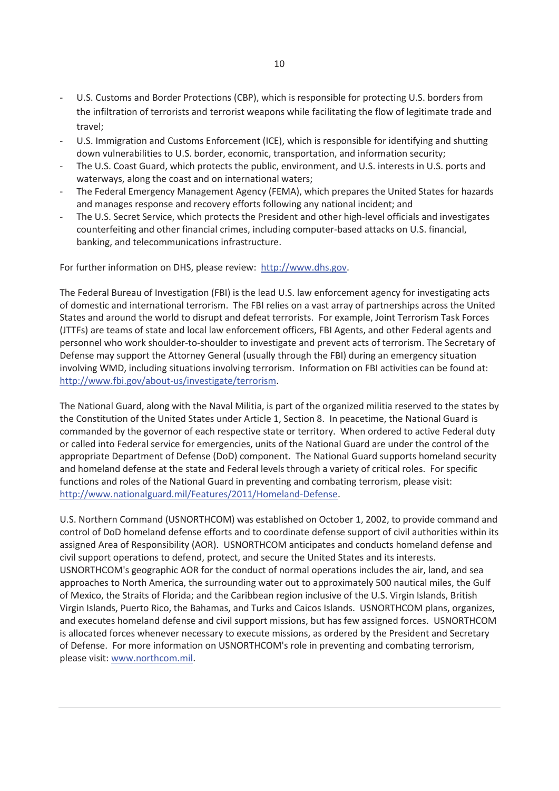- U.S. Customs and Border Protections (CBP), which is responsible for protecting U.S. borders from the infiltration of terrorists and terrorist weapons while facilitating the flow of legitimate trade and travel;
- U.S. Immigration and Customs Enforcement (ICE), which is responsible for identifying and shutting down vulnerabilities to U.S. border, economic, transportation, and information security;
- The U.S. Coast Guard, which protects the public, environment, and U.S. interests in U.S. ports and waterways, along the coast and on international waters;
- The Federal Emergency Management Agency (FEMA), which prepares the United States for hazards and manages response and recovery efforts following any national incident; and
- The U.S. Secret Service, which protects the President and other high-level officials and investigates counterfeiting and other financial crimes, including computer-based attacks on U.S. financial, banking, and telecommunications infrastructure.

For further information on DHS, please review: http://www.dhs.gov.

The Federal Bureau of Investigation (FBI) is the lead U.S. law enforcement agency for investigating acts of domestic and international terrorism. The FBI relies on a vast array of partnerships across the United States and around the world to disrupt and defeat terrorists. For example, Joint Terrorism Task Forces (JTTFs) are teams of state and local law enforcement officers, FBI Agents, and other Federal agents and personnel who work shoulder-to-shoulder to investigate and prevent acts of terrorism. The Secretary of Defense may support the Attorney General (usually through the FBI) during an emergency situation involving WMD, including situations involving terrorism. Information on FBI activities can be found at: http://www.fbi.gov/about-us/investigate/terrorism.

The National Guard, along with the Naval Militia, is part of the organized militia reserved to the states by the Constitution of the United States under Article 1, Section 8. In peacetime, the National Guard is commanded by the governor of each respective state or territory. When ordered to active Federal duty or called into Federal service for emergencies, units of the National Guard are under the control of the appropriate Department of Defense (DoD) component. The National Guard supports homeland security and homeland defense at the state and Federal levels through a variety of critical roles. For specific functions and roles of the National Guard in preventing and combating terrorism, please visit: http://www.nationalguard.mil/Features/2011/Homeland-Defense.

U.S. Northern Command (USNORTHCOM) was established on October 1, 2002, to provide command and control of DoD homeland defense efforts and to coordinate defense support of civil authorities within its assigned Area of Responsibility (AOR). USNORTHCOM anticipates and conducts homeland defense and civil support operations to defend, protect, and secure the United States and its interests. USNORTHCOM's geographic AOR for the conduct of normal operations includes the air, land, and sea approaches to North America, the surrounding water out to approximately 500 nautical miles, the Gulf of Mexico, the Straits of Florida; and the Caribbean region inclusive of the U.S. Virgin Islands, British Virgin Islands, Puerto Rico, the Bahamas, and Turks and Caicos Islands. USNORTHCOM plans, organizes, and executes homeland defense and civil support missions, but has few assigned forces. USNORTHCOM is allocated forces whenever necessary to execute missions, as ordered by the President and Secretary of Defense. For more information on USNORTHCOM's role in preventing and combating terrorism, please visit: www.northcom.mil.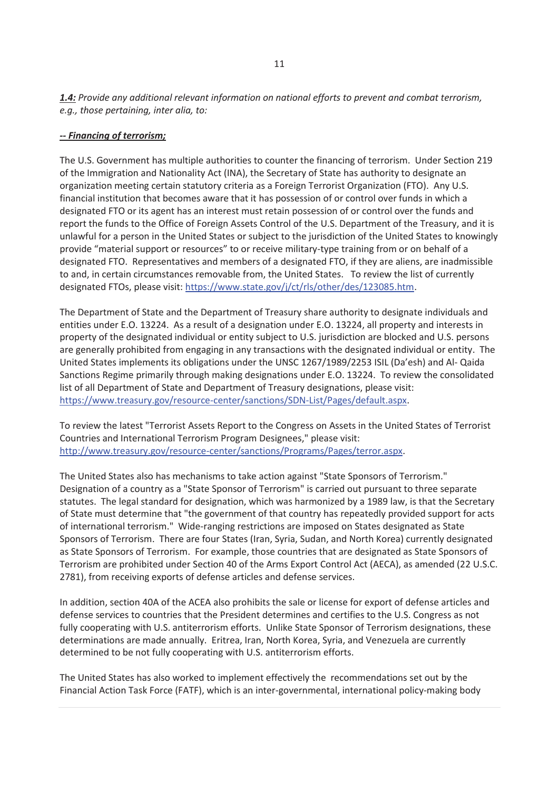*1.4: Provide any additional relevant information on national efforts to prevent and combat terrorism, e.g., those pertaining, inter alia, to:* 

#### *-- Financing of terrorism;*

The U.S. Government has multiple authorities to counter the financing of terrorism. Under Section 219 of the Immigration and Nationality Act (INA), the Secretary of State has authority to designate an organization meeting certain statutory criteria as a Foreign Terrorist Organization (FTO). Any U.S. financial institution that becomes aware that it has possession of or control over funds in which a designated FTO or its agent has an interest must retain possession of or control over the funds and report the funds to the Office of Foreign Assets Control of the U.S. Department of the Treasury, and it is unlawful for a person in the United States or subject to the jurisdiction of the United States to knowingly provide "material support or resources" to or receive military-type training from or on behalf of a designated FTO. Representatives and members of a designated FTO, if they are aliens, are inadmissible to and, in certain circumstances removable from, the United States. To review the list of currently designated FTOs, please visit: https://www.state.gov/j/ct/rls/other/des/123085.htm.

The Department of State and the Department of Treasury share authority to designate individuals and entities under E.O. 13224. As a result of a designation under E.O. 13224, all property and interests in property of the designated individual or entity subject to U.S. jurisdiction are blocked and U.S. persons are generally prohibited from engaging in any transactions with the designated individual or entity. The United States implements its obligations under the UNSC 1267/1989/2253 ISIL (Da'esh) and Al- Qaida Sanctions Regime primarily through making designations under E.O. 13224. To review the consolidated list of all Department of State and Department of Treasury designations, please visit: https://www.treasury.gov/resource-center/sanctions/SDN-List/Pages/default.aspx.

To review the latest "Terrorist Assets Report to the Congress on Assets in the United States of Terrorist Countries and International Terrorism Program Designees," please visit: http://www.treasury.gov/resource-center/sanctions/Programs/Pages/terror.aspx.

The United States also has mechanisms to take action against "State Sponsors of Terrorism." Designation of a country as a "State Sponsor of Terrorism" is carried out pursuant to three separate statutes. The legal standard for designation, which was harmonized by a 1989 law, is that the Secretary of State must determine that "the government of that country has repeatedly provided support for acts of international terrorism." Wide-ranging restrictions are imposed on States designated as State Sponsors of Terrorism. There are four States (Iran, Syria, Sudan, and North Korea) currently designated as State Sponsors of Terrorism. For example, those countries that are designated as State Sponsors of Terrorism are prohibited under Section 40 of the Arms Export Control Act (AECA), as amended (22 U.S.C. 2781), from receiving exports of defense articles and defense services.

In addition, section 40A of the ACEA also prohibits the sale or license for export of defense articles and defense services to countries that the President determines and certifies to the U.S. Congress as not fully cooperating with U.S. antiterrorism efforts. Unlike State Sponsor of Terrorism designations, these determinations are made annually. Eritrea, Iran, North Korea, Syria, and Venezuela are currently determined to be not fully cooperating with U.S. antiterrorism efforts.

The United States has also worked to implement effectively the recommendations set out by the Financial Action Task Force (FATF), which is an inter-governmental, international policy-making body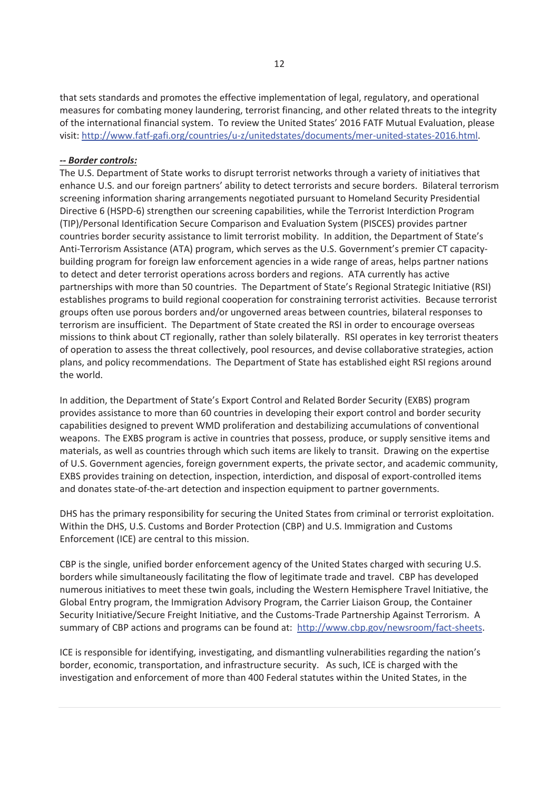that sets standards and promotes the effective implementation of legal, regulatory, and operational measures for combating money laundering, terrorist financing, and other related threats to the integrity of the international financial system. To review the United States' 2016 FATF Mutual Evaluation, please visit: http://www.fatf-gafi.org/countries/u-z/unitedstates/documents/mer-united-states-2016.html.

#### *-- Border controls:*

The U.S. Department of State works to disrupt terrorist networks through a variety of initiatives that enhance U.S. and our foreign partners' ability to detect terrorists and secure borders. Bilateral terrorism screening information sharing arrangements negotiated pursuant to Homeland Security Presidential Directive 6 (HSPD-6) strengthen our screening capabilities, while the Terrorist Interdiction Program (TIP)/Personal Identification Secure Comparison and Evaluation System (PISCES) provides partner countries border security assistance to limit terrorist mobility. In addition, the Department of State's Anti-Terrorism Assistance (ATA) program, which serves as the U.S. Government's premier CT capacitybuilding program for foreign law enforcement agencies in a wide range of areas, helps partner nations to detect and deter terrorist operations across borders and regions. ATA currently has active partnerships with more than 50 countries. The Department of State's Regional Strategic Initiative (RSI) establishes programs to build regional cooperation for constraining terrorist activities. Because terrorist groups often use porous borders and/or ungoverned areas between countries, bilateral responses to terrorism are insufficient. The Department of State created the RSI in order to encourage overseas missions to think about CT regionally, rather than solely bilaterally. RSI operates in key terrorist theaters of operation to assess the threat collectively, pool resources, and devise collaborative strategies, action plans, and policy recommendations. The Department of State has established eight RSI regions around the world.

In addition, the Department of State's Export Control and Related Border Security (EXBS) program provides assistance to more than 60 countries in developing their export control and border security capabilities designed to prevent WMD proliferation and destabilizing accumulations of conventional weapons. The EXBS program is active in countries that possess, produce, or supply sensitive items and materials, as well as countries through which such items are likely to transit. Drawing on the expertise of U.S. Government agencies, foreign government experts, the private sector, and academic community, EXBS provides training on detection, inspection, interdiction, and disposal of export-controlled items and donates state-of-the-art detection and inspection equipment to partner governments.

DHS has the primary responsibility for securing the United States from criminal or terrorist exploitation. Within the DHS, U.S. Customs and Border Protection (CBP) and U.S. Immigration and Customs Enforcement (ICE) are central to this mission.

CBP is the single, unified border enforcement agency of the United States charged with securing U.S. borders while simultaneously facilitating the flow of legitimate trade and travel. CBP has developed numerous initiatives to meet these twin goals, including the Western Hemisphere Travel Initiative, the Global Entry program, the Immigration Advisory Program, the Carrier Liaison Group, the Container Security Initiative/Secure Freight Initiative, and the Customs-Trade Partnership Against Terrorism. A summary of CBP actions and programs can be found at: http://www.cbp.gov/newsroom/fact-sheets.

ICE is responsible for identifying, investigating, and dismantling vulnerabilities regarding the nation's border, economic, transportation, and infrastructure security. As such, ICE is charged with the investigation and enforcement of more than 400 Federal statutes within the United States, in the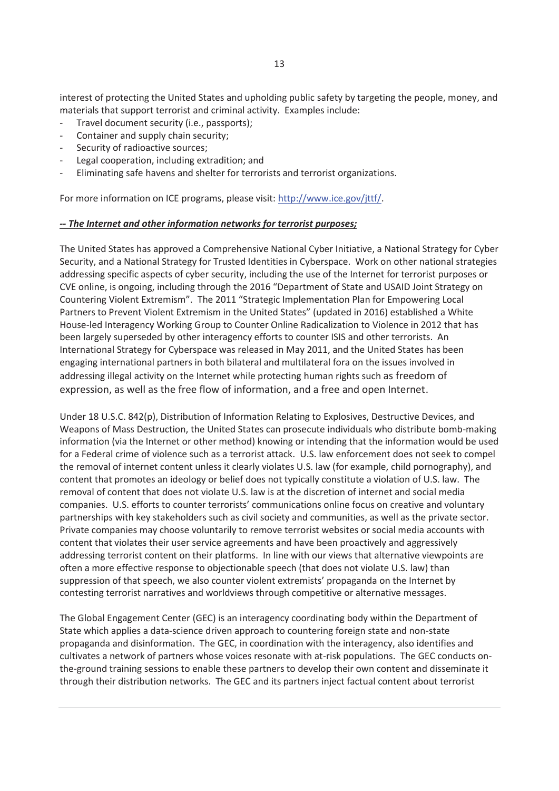interest of protecting the United States and upholding public safety by targeting the people, money, and materials that support terrorist and criminal activity. Examples include:

- Travel document security (i.e., passports);
- Container and supply chain security;
- Security of radioactive sources;
- Legal cooperation, including extradition; and
- Eliminating safe havens and shelter for terrorists and terrorist organizations.

For more information on ICE programs, please visit: http://www.ice.gov/jttf/.

#### *-- The Internet and other information networks for terrorist purposes;*

The United States has approved a Comprehensive National Cyber Initiative, a National Strategy for Cyber Security, and a National Strategy for Trusted Identities in Cyberspace. Work on other national strategies addressing specific aspects of cyber security, including the use of the Internet for terrorist purposes or CVE online, is ongoing, including through the 2016 "Department of State and USAID Joint Strategy on Countering Violent Extremism". The 2011 "Strategic Implementation Plan for Empowering Local Partners to Prevent Violent Extremism in the United States" (updated in 2016) established a White House-led Interagency Working Group to Counter Online Radicalization to Violence in 2012 that has been largely superseded by other interagency efforts to counter ISIS and other terrorists. An International Strategy for Cyberspace was released in May 2011, and the United States has been engaging international partners in both bilateral and multilateral fora on the issues involved in addressing illegal activity on the Internet while protecting human rights such as freedom of expression, as well as the free flow of information, and a free and open Internet.

Under 18 U.S.C. 842(p), Distribution of Information Relating to Explosives, Destructive Devices, and Weapons of Mass Destruction, the United States can prosecute individuals who distribute bomb-making information (via the Internet or other method) knowing or intending that the information would be used for a Federal crime of violence such as a terrorist attack. U.S. law enforcement does not seek to compel the removal of internet content unless it clearly violates U.S. law (for example, child pornography), and content that promotes an ideology or belief does not typically constitute a violation of U.S. law. The removal of content that does not violate U.S. law is at the discretion of internet and social media companies. U.S. efforts to counter terrorists' communications online focus on creative and voluntary partnerships with key stakeholders such as civil society and communities, as well as the private sector. Private companies may choose voluntarily to remove terrorist websites or social media accounts with content that violates their user service agreements and have been proactively and aggressively addressing terrorist content on their platforms. In line with our views that alternative viewpoints are often a more effective response to objectionable speech (that does not violate U.S. law) than suppression of that speech, we also counter violent extremists' propaganda on the Internet by contesting terrorist narratives and worldviews through competitive or alternative messages.

The Global Engagement Center (GEC) is an interagency coordinating body within the Department of State which applies a data-science driven approach to countering foreign state and non-state propaganda and disinformation. The GEC, in coordination with the interagency, also identifies and cultivates a network of partners whose voices resonate with at-risk populations. The GEC conducts onthe-ground training sessions to enable these partners to develop their own content and disseminate it through their distribution networks. The GEC and its partners inject factual content about terrorist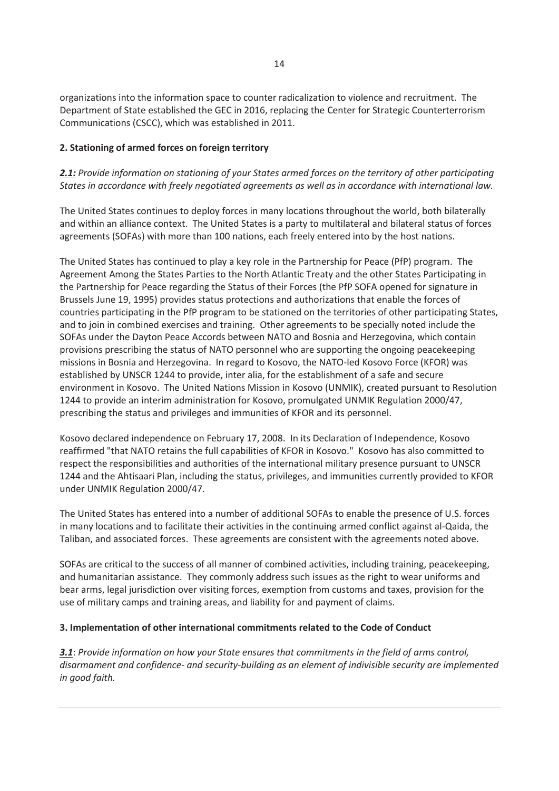organizations into the information space to counter radicalization to violence and recruitment. The Department of State established the GEC in 2016, replacing the Center for Strategic Counterterrorism Communications (CSCC), which was established in 2011.

#### **2. Stationing of armed forces on foreign territory**

#### *2.1: Provide information on stationing of your States armed forces on the territory of other participating States in accordance with freely negotiated agreements as well as in accordance with international law.*

The United States continues to deploy forces in many locations throughout the world, both bilaterally and within an alliance context. The United States is a party to multilateral and bilateral status of forces agreements (SOFAs) with more than 100 nations, each freely entered into by the host nations.

The United States has continued to play a key role in the Partnership for Peace (PfP) program. The Agreement Among the States Parties to the North Atlantic Treaty and the other States Participating in the Partnership for Peace regarding the Status of their Forces (the PfP SOFA opened for signature in Brussels June 19, 1995) provides status protections and authorizations that enable the forces of countries participating in the PfP program to be stationed on the territories of other participating States, and to join in combined exercises and training. Other agreements to be specially noted include the SOFAs under the Dayton Peace Accords between NATO and Bosnia and Herzegovina, which contain provisions prescribing the status of NATO personnel who are supporting the ongoing peacekeeping missions in Bosnia and Herzegovina. In regard to Kosovo, the NATO-led Kosovo Force (KFOR) was established by UNSCR 1244 to provide, inter alia, for the establishment of a safe and secure environment in Kosovo. The United Nations Mission in Kosovo (UNMIK), created pursuant to Resolution 1244 to provide an interim administration for Kosovo, promulgated UNMIK Regulation 2000/47, prescribing the status and privileges and immunities of KFOR and its personnel.

Kosovo declared independence on February 17, 2008. In its Declaration of Independence, Kosovo reaffirmed "that NATO retains the full capabilities of KFOR in Kosovo." Kosovo has also committed to respect the responsibilities and authorities of the international military presence pursuant to UNSCR 1244 and the Ahtisaari Plan, including the status, privileges, and immunities currently provided to KFOR under UNMIK Regulation 2000/47.

The United States has entered into a number of additional SOFAs to enable the presence of U.S. forces in many locations and to facilitate their activities in the continuing armed conflict against al-Qaida, the Taliban, and associated forces. These agreements are consistent with the agreements noted above.

SOFAs are critical to the success of all manner of combined activities, including training, peacekeeping, and humanitarian assistance. They commonly address such issues as the right to wear uniforms and bear arms, legal jurisdiction over visiting forces, exemption from customs and taxes, provision for the use of military camps and training areas, and liability for and payment of claims.

#### **3. Implementation of other international commitments related to the Code of Conduct**

*3.1*: *Provide information on how your State ensures that commitments in the field of arms control, disarmament and confidence- and security-building as an element of indivisible security are implemented in good faith.*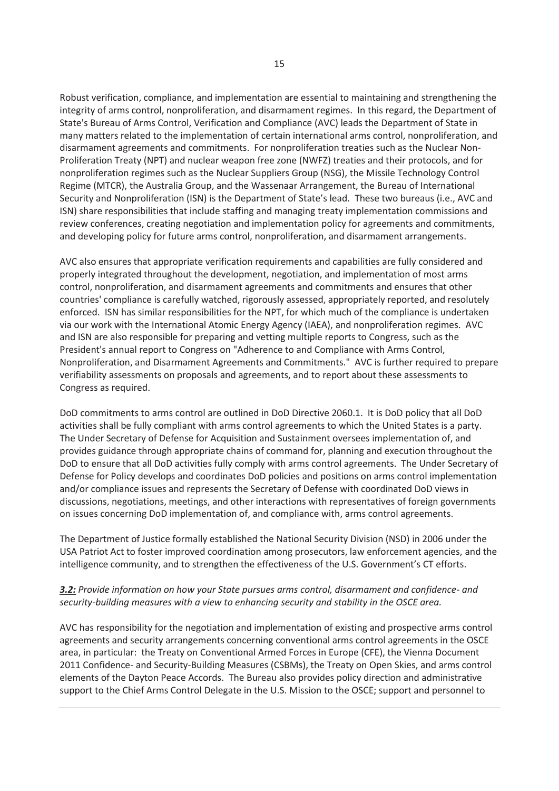Robust verification, compliance, and implementation are essential to maintaining and strengthening the integrity of arms control, nonproliferation, and disarmament regimes. In this regard, the Department of State's Bureau of Arms Control, Verification and Compliance (AVC) leads the Department of State in many matters related to the implementation of certain international arms control, nonproliferation, and disarmament agreements and commitments. For nonproliferation treaties such as the Nuclear Non-Proliferation Treaty (NPT) and nuclear weapon free zone (NWFZ) treaties and their protocols, and for nonproliferation regimes such as the Nuclear Suppliers Group (NSG), the Missile Technology Control Regime (MTCR), the Australia Group, and the Wassenaar Arrangement, the Bureau of International Security and Nonproliferation (ISN) is the Department of State's lead. These two bureaus (i.e., AVC and ISN) share responsibilities that include staffing and managing treaty implementation commissions and review conferences, creating negotiation and implementation policy for agreements and commitments, and developing policy for future arms control, nonproliferation, and disarmament arrangements.

AVC also ensures that appropriate verification requirements and capabilities are fully considered and properly integrated throughout the development, negotiation, and implementation of most arms control, nonproliferation, and disarmament agreements and commitments and ensures that other countries' compliance is carefully watched, rigorously assessed, appropriately reported, and resolutely enforced. ISN has similar responsibilities for the NPT, for which much of the compliance is undertaken via our work with the International Atomic Energy Agency (IAEA), and nonproliferation regimes. AVC and ISN are also responsible for preparing and vetting multiple reports to Congress, such as the President's annual report to Congress on "Adherence to and Compliance with Arms Control, Nonproliferation, and Disarmament Agreements and Commitments." AVC is further required to prepare verifiability assessments on proposals and agreements, and to report about these assessments to Congress as required.

DoD commitments to arms control are outlined in DoD Directive 2060.1. It is DoD policy that all DoD activities shall be fully compliant with arms control agreements to which the United States is a party. The Under Secretary of Defense for Acquisition and Sustainment oversees implementation of, and provides guidance through appropriate chains of command for, planning and execution throughout the DoD to ensure that all DoD activities fully comply with arms control agreements. The Under Secretary of Defense for Policy develops and coordinates DoD policies and positions on arms control implementation and/or compliance issues and represents the Secretary of Defense with coordinated DoD views in discussions, negotiations, meetings, and other interactions with representatives of foreign governments on issues concerning DoD implementation of, and compliance with, arms control agreements.

The Department of Justice formally established the National Security Division (NSD) in 2006 under the USA Patriot Act to foster improved coordination among prosecutors, law enforcement agencies, and the intelligence community, and to strengthen the effectiveness of the U.S. Government's CT efforts.

#### *3.2: Provide information on how your State pursues arms control, disarmament and confidence- and security-building measures with a view to enhancing security and stability in the OSCE area.*

AVC has responsibility for the negotiation and implementation of existing and prospective arms control agreements and security arrangements concerning conventional arms control agreements in the OSCE area, in particular: the Treaty on Conventional Armed Forces in Europe (CFE), the Vienna Document 2011 Confidence- and Security-Building Measures (CSBMs), the Treaty on Open Skies, and arms control elements of the Dayton Peace Accords. The Bureau also provides policy direction and administrative support to the Chief Arms Control Delegate in the U.S. Mission to the OSCE; support and personnel to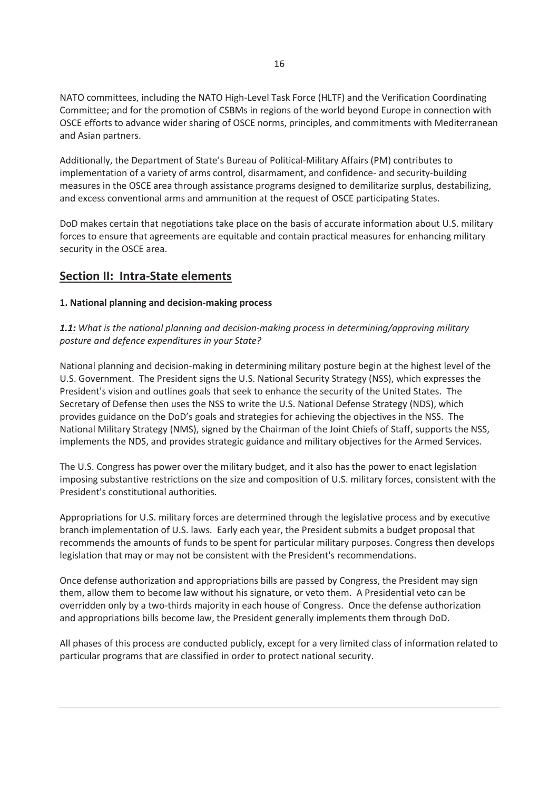NATO committees, including the NATO High-Level Task Force (HLTF) and the Verification Coordinating Committee; and for the promotion of CSBMs in regions of the world beyond Europe in connection with OSCE efforts to advance wider sharing of OSCE norms, principles, and commitments with Mediterranean and Asian partners.

Additionally, the Department of State's Bureau of Political-Military Affairs (PM) contributes to implementation of a variety of arms control, disarmament, and confidence- and security-building measures in the OSCE area through assistance programs designed to demilitarize surplus, destabilizing, and excess conventional arms and ammunition at the request of OSCE participating States.

DoD makes certain that negotiations take place on the basis of accurate information about U.S. military forces to ensure that agreements are equitable and contain practical measures for enhancing military security in the OSCE area.

# **Section II: Intra-State elements**

#### **1. National planning and decision-making process**

# *1.1: What is the national planning and decision-making process in determining/approving military posture and defence expenditures in your State?*

National planning and decision-making in determining military posture begin at the highest level of the U.S. Government. The President signs the U.S. National Security Strategy (NSS), which expresses the President's vision and outlines goals that seek to enhance the security of the United States. The Secretary of Defense then uses the NSS to write the U.S. National Defense Strategy (NDS), which provides guidance on the DoD's goals and strategies for achieving the objectives in the NSS. The National Military Strategy (NMS), signed by the Chairman of the Joint Chiefs of Staff, supports the NSS, implements the NDS, and provides strategic guidance and military objectives for the Armed Services.

The U.S. Congress has power over the military budget, and it also has the power to enact legislation imposing substantive restrictions on the size and composition of U.S. military forces, consistent with the President's constitutional authorities.

Appropriations for U.S. military forces are determined through the legislative process and by executive branch implementation of U.S. laws. Early each year, the President submits a budget proposal that recommends the amounts of funds to be spent for particular military purposes. Congress then develops legislation that may or may not be consistent with the President's recommendations.

Once defense authorization and appropriations bills are passed by Congress, the President may sign them, allow them to become law without his signature, or veto them. A Presidential veto can be overridden only by a two-thirds majority in each house of Congress. Once the defense authorization and appropriations bills become law, the President generally implements them through DoD.

All phases of this process are conducted publicly, except for a very limited class of information related to particular programs that are classified in order to protect national security.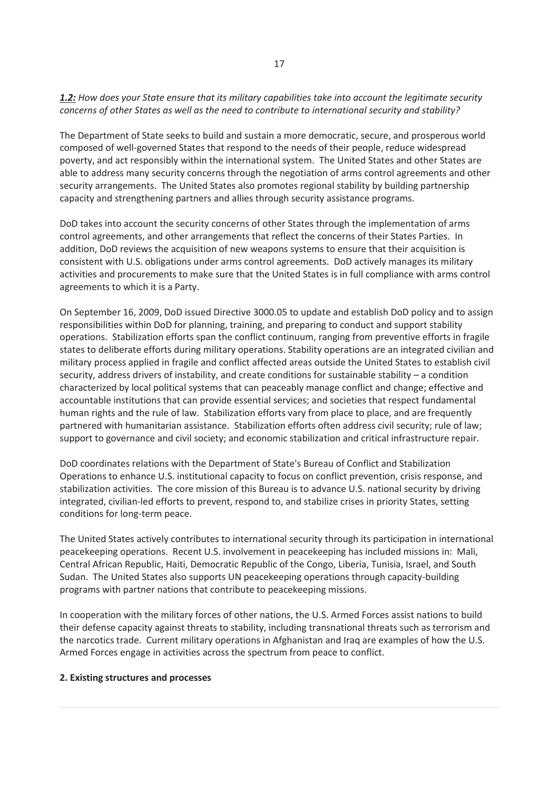#### *1.2: How does your State ensure that its military capabilities take into account the legitimate security concerns of other States as well as the need to contribute to international security and stability?*

The Department of State seeks to build and sustain a more democratic, secure, and prosperous world composed of well-governed States that respond to the needs of their people, reduce widespread poverty, and act responsibly within the international system. The United States and other States are able to address many security concerns through the negotiation of arms control agreements and other security arrangements. The United States also promotes regional stability by building partnership capacity and strengthening partners and allies through security assistance programs.

DoD takes into account the security concerns of other States through the implementation of arms control agreements, and other arrangements that reflect the concerns of their States Parties. In addition, DoD reviews the acquisition of new weapons systems to ensure that their acquisition is consistent with U.S. obligations under arms control agreements. DoD actively manages its military activities and procurements to make sure that the United States is in full compliance with arms control agreements to which it is a Party.

On September 16, 2009, DoD issued Directive 3000.05 to update and establish DoD policy and to assign responsibilities within DoD for planning, training, and preparing to conduct and support stability operations. Stabilization efforts span the conflict continuum, ranging from preventive efforts in fragile states to deliberate efforts during military operations. Stability operations are an integrated civilian and military process applied in fragile and conflict affected areas outside the United States to establish civil security, address drivers of instability, and create conditions for sustainable stability – a condition characterized by local political systems that can peaceably manage conflict and change; effective and accountable institutions that can provide essential services; and societies that respect fundamental human rights and the rule of law. Stabilization efforts vary from place to place, and are frequently partnered with humanitarian assistance. Stabilization efforts often address civil security; rule of law; support to governance and civil society; and economic stabilization and critical infrastructure repair.

DoD coordinates relations with the Department of State's Bureau of Conflict and Stabilization Operations to enhance U.S. institutional capacity to focus on conflict prevention, crisis response, and stabilization activities. The core mission of this Bureau is to advance U.S. national security by driving integrated, civilian-led efforts to prevent, respond to, and stabilize crises in priority States, setting conditions for long-term peace.

The United States actively contributes to international security through its participation in international peacekeeping operations. Recent U.S. involvement in peacekeeping has included missions in: Mali, Central African Republic, Haiti, Democratic Republic of the Congo, Liberia, Tunisia, Israel, and South Sudan. The United States also supports UN peacekeeping operations through capacity-building programs with partner nations that contribute to peacekeeping missions.

In cooperation with the military forces of other nations, the U.S. Armed Forces assist nations to build their defense capacity against threats to stability, including transnational threats such as terrorism and the narcotics trade. Current military operations in Afghanistan and Iraq are examples of how the U.S. Armed Forces engage in activities across the spectrum from peace to conflict.

#### **2. Existing structures and processes**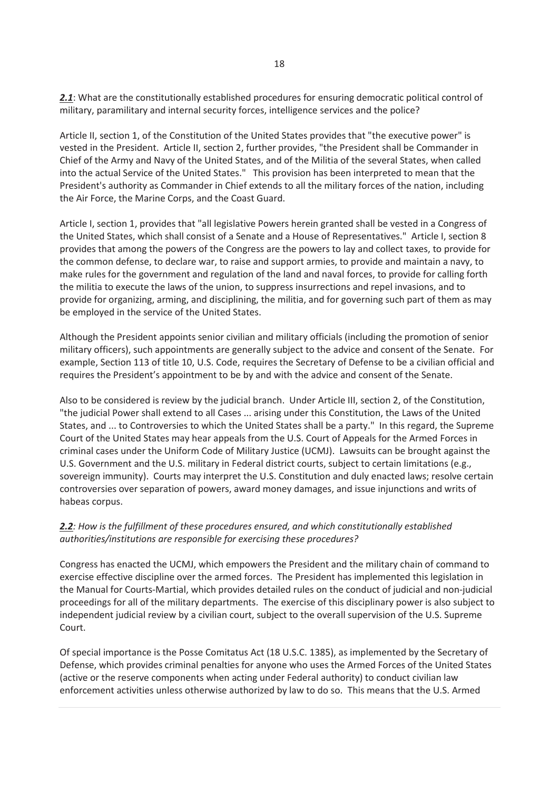2.1: What are the constitutionally established procedures for ensuring democratic political control of military, paramilitary and internal security forces, intelligence services and the police?

Article II, section 1, of the Constitution of the United States provides that "the executive power" is vested in the President. Article II, section 2, further provides, "the President shall be Commander in Chief of the Army and Navy of the United States, and of the Militia of the several States, when called into the actual Service of the United States." This provision has been interpreted to mean that the President's authority as Commander in Chief extends to all the military forces of the nation, including the Air Force, the Marine Corps, and the Coast Guard.

Article I, section 1, provides that "all legislative Powers herein granted shall be vested in a Congress of the United States, which shall consist of a Senate and a House of Representatives." Article I, section 8 provides that among the powers of the Congress are the powers to lay and collect taxes, to provide for the common defense, to declare war, to raise and support armies, to provide and maintain a navy, to make rules for the government and regulation of the land and naval forces, to provide for calling forth the militia to execute the laws of the union, to suppress insurrections and repel invasions, and to provide for organizing, arming, and disciplining, the militia, and for governing such part of them as may be employed in the service of the United States.

Although the President appoints senior civilian and military officials (including the promotion of senior military officers), such appointments are generally subject to the advice and consent of the Senate. For example, Section 113 of title 10, U.S. Code, requires the Secretary of Defense to be a civilian official and requires the President's appointment to be by and with the advice and consent of the Senate.

Also to be considered is review by the judicial branch. Under Article III, section 2, of the Constitution, "the judicial Power shall extend to all Cases ... arising under this Constitution, the Laws of the United States, and ... to Controversies to which the United States shall be a party." In this regard, the Supreme Court of the United States may hear appeals from the U.S. Court of Appeals for the Armed Forces in criminal cases under the Uniform Code of Military Justice (UCMJ). Lawsuits can be brought against the U.S. Government and the U.S. military in Federal district courts, subject to certain limitations (e.g., sovereign immunity). Courts may interpret the U.S. Constitution and duly enacted laws; resolve certain controversies over separation of powers, award money damages, and issue injunctions and writs of habeas corpus.

# *2.2: How is the fulfillment of these procedures ensured, and which constitutionally established authorities/institutions are responsible for exercising these procedures?*

Congress has enacted the UCMJ, which empowers the President and the military chain of command to exercise effective discipline over the armed forces. The President has implemented this legislation in the Manual for Courts-Martial, which provides detailed rules on the conduct of judicial and non-judicial proceedings for all of the military departments. The exercise of this disciplinary power is also subject to independent judicial review by a civilian court, subject to the overall supervision of the U.S. Supreme Court.

Of special importance is the Posse Comitatus Act (18 U.S.C. 1385), as implemented by the Secretary of Defense, which provides criminal penalties for anyone who uses the Armed Forces of the United States (active or the reserve components when acting under Federal authority) to conduct civilian law enforcement activities unless otherwise authorized by law to do so. This means that the U.S. Armed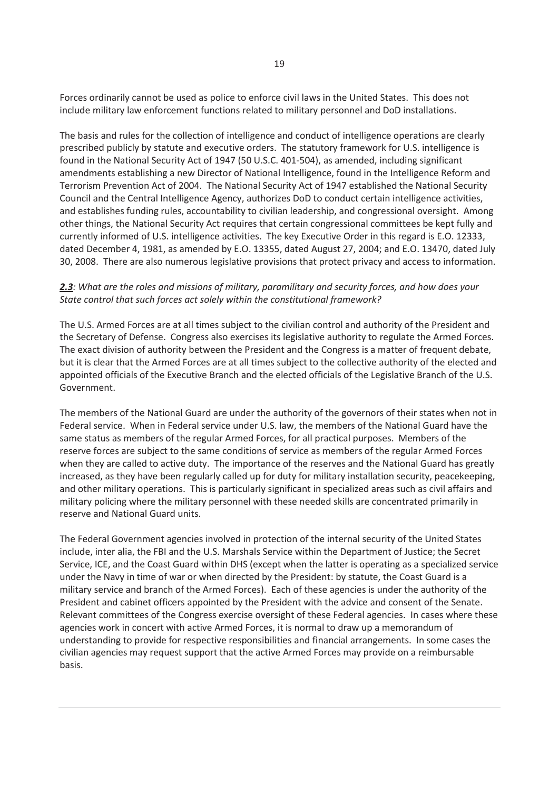Forces ordinarily cannot be used as police to enforce civil laws in the United States. This does not include military law enforcement functions related to military personnel and DoD installations.

The basis and rules for the collection of intelligence and conduct of intelligence operations are clearly prescribed publicly by statute and executive orders. The statutory framework for U.S. intelligence is found in the National Security Act of 1947 (50 U.S.C. 401-504), as amended, including significant amendments establishing a new Director of National Intelligence, found in the Intelligence Reform and Terrorism Prevention Act of 2004. The National Security Act of 1947 established the National Security Council and the Central Intelligence Agency, authorizes DoD to conduct certain intelligence activities, and establishes funding rules, accountability to civilian leadership, and congressional oversight. Among other things, the National Security Act requires that certain congressional committees be kept fully and currently informed of U.S. intelligence activities. The key Executive Order in this regard is E.O. 12333, dated December 4, 1981, as amended by E.O. 13355, dated August 27, 2004; and E.O. 13470, dated July 30, 2008. There are also numerous legislative provisions that protect privacy and access to information.

#### *2.3: What are the roles and missions of military, paramilitary and security forces, and how does your State control that such forces act solely within the constitutional framework?*

The U.S. Armed Forces are at all times subject to the civilian control and authority of the President and the Secretary of Defense. Congress also exercises its legislative authority to regulate the Armed Forces. The exact division of authority between the President and the Congress is a matter of frequent debate, but it is clear that the Armed Forces are at all times subject to the collective authority of the elected and appointed officials of the Executive Branch and the elected officials of the Legislative Branch of the U.S. Government.

The members of the National Guard are under the authority of the governors of their states when not in Federal service. When in Federal service under U.S. law, the members of the National Guard have the same status as members of the regular Armed Forces, for all practical purposes. Members of the reserve forces are subject to the same conditions of service as members of the regular Armed Forces when they are called to active duty. The importance of the reserves and the National Guard has greatly increased, as they have been regularly called up for duty for military installation security, peacekeeping, and other military operations. This is particularly significant in specialized areas such as civil affairs and military policing where the military personnel with these needed skills are concentrated primarily in reserve and National Guard units.

The Federal Government agencies involved in protection of the internal security of the United States include, inter alia, the FBI and the U.S. Marshals Service within the Department of Justice; the Secret Service, ICE, and the Coast Guard within DHS (except when the latter is operating as a specialized service under the Navy in time of war or when directed by the President: by statute, the Coast Guard is a military service and branch of the Armed Forces). Each of these agencies is under the authority of the President and cabinet officers appointed by the President with the advice and consent of the Senate. Relevant committees of the Congress exercise oversight of these Federal agencies. In cases where these agencies work in concert with active Armed Forces, it is normal to draw up a memorandum of understanding to provide for respective responsibilities and financial arrangements. In some cases the civilian agencies may request support that the active Armed Forces may provide on a reimbursable basis.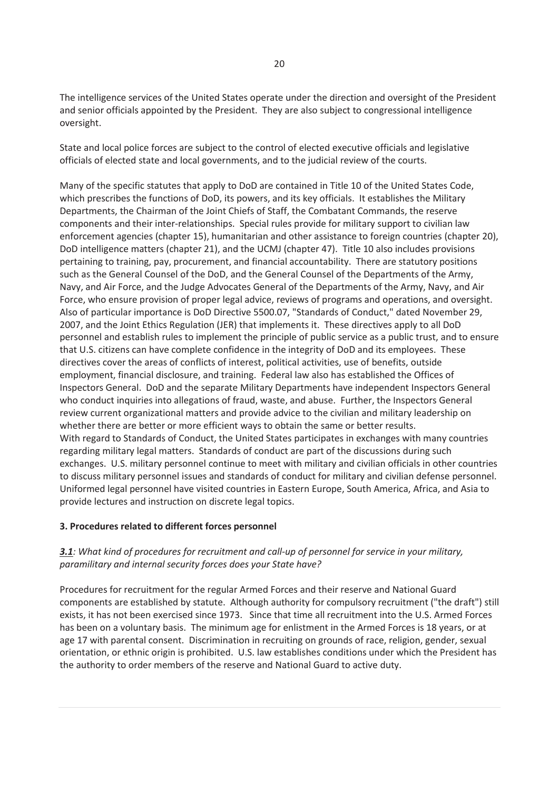The intelligence services of the United States operate under the direction and oversight of the President and senior officials appointed by the President. They are also subject to congressional intelligence oversight.

State and local police forces are subject to the control of elected executive officials and legislative officials of elected state and local governments, and to the judicial review of the courts.

Many of the specific statutes that apply to DoD are contained in Title 10 of the United States Code, which prescribes the functions of DoD, its powers, and its key officials. It establishes the Military Departments, the Chairman of the Joint Chiefs of Staff, the Combatant Commands, the reserve components and their inter-relationships. Special rules provide for military support to civilian law enforcement agencies (chapter 15), humanitarian and other assistance to foreign countries (chapter 20), DoD intelligence matters (chapter 21), and the UCMJ (chapter 47). Title 10 also includes provisions pertaining to training, pay, procurement, and financial accountability. There are statutory positions such as the General Counsel of the DoD, and the General Counsel of the Departments of the Army, Navy, and Air Force, and the Judge Advocates General of the Departments of the Army, Navy, and Air Force, who ensure provision of proper legal advice, reviews of programs and operations, and oversight. Also of particular importance is DoD Directive 5500.07, "Standards of Conduct," dated November 29, 2007, and the Joint Ethics Regulation (JER) that implements it. These directives apply to all DoD personnel and establish rules to implement the principle of public service as a public trust, and to ensure that U.S. citizens can have complete confidence in the integrity of DoD and its employees. These directives cover the areas of conflicts of interest, political activities, use of benefits, outside employment, financial disclosure, and training. Federal law also has established the Offices of Inspectors General. DoD and the separate Military Departments have independent Inspectors General who conduct inquiries into allegations of fraud, waste, and abuse. Further, the Inspectors General review current organizational matters and provide advice to the civilian and military leadership on whether there are better or more efficient ways to obtain the same or better results. With regard to Standards of Conduct, the United States participates in exchanges with many countries regarding military legal matters. Standards of conduct are part of the discussions during such exchanges. U.S. military personnel continue to meet with military and civilian officials in other countries to discuss military personnel issues and standards of conduct for military and civilian defense personnel. Uniformed legal personnel have visited countries in Eastern Europe, South America, Africa, and Asia to provide lectures and instruction on discrete legal topics.

# **3. Procedures related to different forces personnel**

# *3.1: What kind of procedures for recruitment and call-up of personnel for service in your military, paramilitary and internal security forces does your State have?*

Procedures for recruitment for the regular Armed Forces and their reserve and National Guard components are established by statute. Although authority for compulsory recruitment ("the draft") still exists, it has not been exercised since 1973. Since that time all recruitment into the U.S. Armed Forces has been on a voluntary basis. The minimum age for enlistment in the Armed Forces is 18 years, or at age 17 with parental consent. Discrimination in recruiting on grounds of race, religion, gender, sexual orientation, or ethnic origin is prohibited. U.S. law establishes conditions under which the President has the authority to order members of the reserve and National Guard to active duty.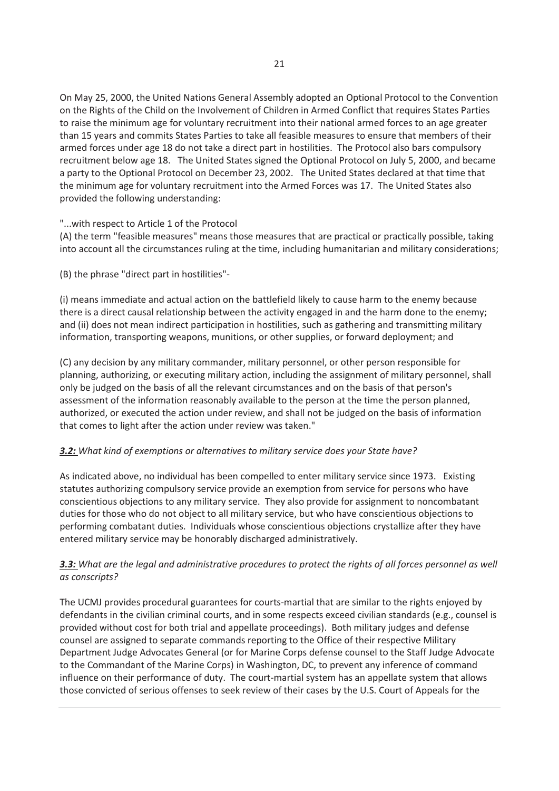On May 25, 2000, the United Nations General Assembly adopted an Optional Protocol to the Convention on the Rights of the Child on the Involvement of Children in Armed Conflict that requires States Parties to raise the minimum age for voluntary recruitment into their national armed forces to an age greater than 15 years and commits States Parties to take all feasible measures to ensure that members of their armed forces under age 18 do not take a direct part in hostilities. The Protocol also bars compulsory recruitment below age 18. The United States signed the Optional Protocol on July 5, 2000, and became a party to the Optional Protocol on December 23, 2002. The United States declared at that time that the minimum age for voluntary recruitment into the Armed Forces was 17. The United States also provided the following understanding:

#### "...with respect to Article 1 of the Protocol

(A) the term "feasible measures" means those measures that are practical or practically possible, taking into account all the circumstances ruling at the time, including humanitarian and military considerations;

(B) the phrase "direct part in hostilities"-

(i) means immediate and actual action on the battlefield likely to cause harm to the enemy because there is a direct causal relationship between the activity engaged in and the harm done to the enemy; and (ii) does not mean indirect participation in hostilities, such as gathering and transmitting military information, transporting weapons, munitions, or other supplies, or forward deployment; and

(C) any decision by any military commander, military personnel, or other person responsible for planning, authorizing, or executing military action, including the assignment of military personnel, shall only be judged on the basis of all the relevant circumstances and on the basis of that person's assessment of the information reasonably available to the person at the time the person planned, authorized, or executed the action under review, and shall not be judged on the basis of information that comes to light after the action under review was taken."

# *3.2: What kind of exemptions or alternatives to military service does your State have?*

As indicated above, no individual has been compelled to enter military service since 1973. Existing statutes authorizing compulsory service provide an exemption from service for persons who have conscientious objections to any military service. They also provide for assignment to noncombatant duties for those who do not object to all military service, but who have conscientious objections to performing combatant duties. Individuals whose conscientious objections crystallize after they have entered military service may be honorably discharged administratively.

# *3.3: What are the legal and administrative procedures to protect the rights of all forces personnel as well as conscripts?*

The UCMJ provides procedural guarantees for courts-martial that are similar to the rights enjoyed by defendants in the civilian criminal courts, and in some respects exceed civilian standards (e.g., counsel is provided without cost for both trial and appellate proceedings). Both military judges and defense counsel are assigned to separate commands reporting to the Office of their respective Military Department Judge Advocates General (or for Marine Corps defense counsel to the Staff Judge Advocate to the Commandant of the Marine Corps) in Washington, DC, to prevent any inference of command influence on their performance of duty. The court-martial system has an appellate system that allows those convicted of serious offenses to seek review of their cases by the U.S. Court of Appeals for the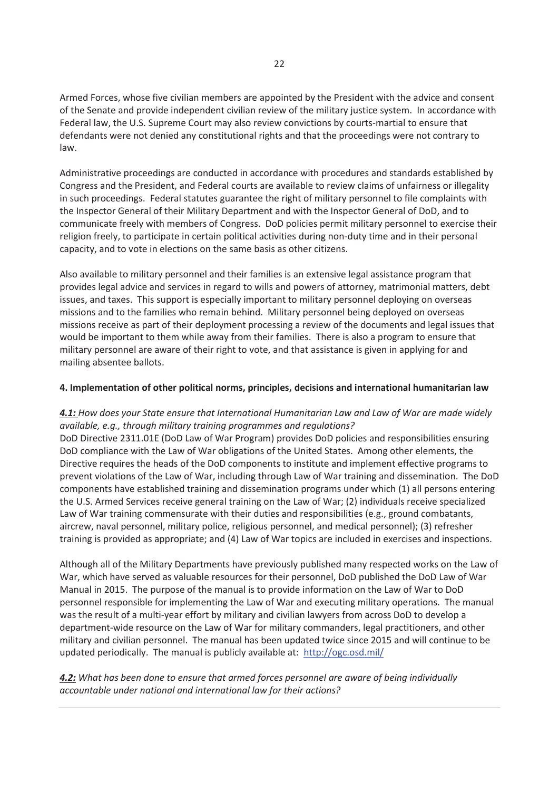Armed Forces, whose five civilian members are appointed by the President with the advice and consent of the Senate and provide independent civilian review of the military justice system. In accordance with Federal law, the U.S. Supreme Court may also review convictions by courts-martial to ensure that defendants were not denied any constitutional rights and that the proceedings were not contrary to law.

Administrative proceedings are conducted in accordance with procedures and standards established by Congress and the President, and Federal courts are available to review claims of unfairness or illegality in such proceedings. Federal statutes guarantee the right of military personnel to file complaints with the Inspector General of their Military Department and with the Inspector General of DoD, and to communicate freely with members of Congress. DoD policies permit military personnel to exercise their religion freely, to participate in certain political activities during non-duty time and in their personal capacity, and to vote in elections on the same basis as other citizens.

Also available to military personnel and their families is an extensive legal assistance program that provides legal advice and services in regard to wills and powers of attorney, matrimonial matters, debt issues, and taxes. This support is especially important to military personnel deploying on overseas missions and to the families who remain behind. Military personnel being deployed on overseas missions receive as part of their deployment processing a review of the documents and legal issues that would be important to them while away from their families. There is also a program to ensure that military personnel are aware of their right to vote, and that assistance is given in applying for and mailing absentee ballots.

#### **4. Implementation of other political norms, principles, decisions and international humanitarian law**

# *4.1: How does your State ensure that International Humanitarian Law and Law of War are made widely available, e.g., through military training programmes and regulations?*

DoD Directive 2311.01E (DoD Law of War Program) provides DoD policies and responsibilities ensuring DoD compliance with the Law of War obligations of the United States. Among other elements, the Directive requires the heads of the DoD components to institute and implement effective programs to prevent violations of the Law of War, including through Law of War training and dissemination. The DoD components have established training and dissemination programs under which (1) all persons entering the U.S. Armed Services receive general training on the Law of War; (2) individuals receive specialized Law of War training commensurate with their duties and responsibilities (e.g., ground combatants, aircrew, naval personnel, military police, religious personnel, and medical personnel); (3) refresher training is provided as appropriate; and (4) Law of War topics are included in exercises and inspections.

Although all of the Military Departments have previously published many respected works on the Law of War, which have served as valuable resources for their personnel, DoD published the DoD Law of War Manual in 2015. The purpose of the manual is to provide information on the Law of War to DoD personnel responsible for implementing the Law of War and executing military operations. The manual was the result of a multi-year effort by military and civilian lawyers from across DoD to develop a department-wide resource on the Law of War for military commanders, legal practitioners, and other military and civilian personnel. The manual has been updated twice since 2015 and will continue to be updated periodically. The manual is publicly available at: http://ogc.osd.mil/

# *4.2: What has been done to ensure that armed forces personnel are aware of being individually accountable under national and international law for their actions?*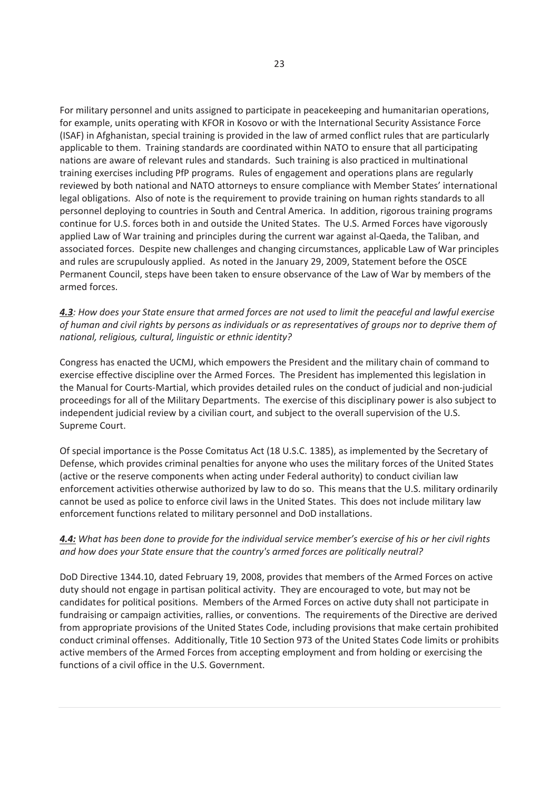For military personnel and units assigned to participate in peacekeeping and humanitarian operations, for example, units operating with KFOR in Kosovo or with the International Security Assistance Force (ISAF) in Afghanistan, special training is provided in the law of armed conflict rules that are particularly applicable to them. Training standards are coordinated within NATO to ensure that all participating nations are aware of relevant rules and standards. Such training is also practiced in multinational training exercises including PfP programs. Rules of engagement and operations plans are regularly reviewed by both national and NATO attorneys to ensure compliance with Member States' international legal obligations. Also of note is the requirement to provide training on human rights standards to all personnel deploying to countries in South and Central America. In addition, rigorous training programs continue for U.S. forces both in and outside the United States. The U.S. Armed Forces have vigorously applied Law of War training and principles during the current war against al-Qaeda, the Taliban, and associated forces. Despite new challenges and changing circumstances, applicable Law of War principles and rules are scrupulously applied. As noted in the January 29, 2009, Statement before the OSCE Permanent Council, steps have been taken to ensure observance of the Law of War by members of the armed forces.

*4.3: How does your State ensure that armed forces are not used to limit the peaceful and lawful exercise of human and civil rights by persons as individuals or as representatives of groups nor to deprive them of national, religious, cultural, linguistic or ethnic identity?* 

Congress has enacted the UCMJ, which empowers the President and the military chain of command to exercise effective discipline over the Armed Forces. The President has implemented this legislation in the Manual for Courts-Martial, which provides detailed rules on the conduct of judicial and non-judicial proceedings for all of the Military Departments. The exercise of this disciplinary power is also subject to independent judicial review by a civilian court, and subject to the overall supervision of the U.S. Supreme Court.

Of special importance is the Posse Comitatus Act (18 U.S.C. 1385), as implemented by the Secretary of Defense, which provides criminal penalties for anyone who uses the military forces of the United States (active or the reserve components when acting under Federal authority) to conduct civilian law enforcement activities otherwise authorized by law to do so. This means that the U.S. military ordinarily cannot be used as police to enforce civil laws in the United States. This does not include military law enforcement functions related to military personnel and DoD installations.

#### *4.4: What has been done to provide for the individual service member's exercise of his or her civil rights and how does your State ensure that the country's armed forces are politically neutral?*

DoD Directive 1344.10, dated February 19, 2008, provides that members of the Armed Forces on active duty should not engage in partisan political activity. They are encouraged to vote, but may not be candidates for political positions. Members of the Armed Forces on active duty shall not participate in fundraising or campaign activities, rallies, or conventions. The requirements of the Directive are derived from appropriate provisions of the United States Code, including provisions that make certain prohibited conduct criminal offenses. Additionally, Title 10 Section 973 of the United States Code limits or prohibits active members of the Armed Forces from accepting employment and from holding or exercising the functions of a civil office in the U.S. Government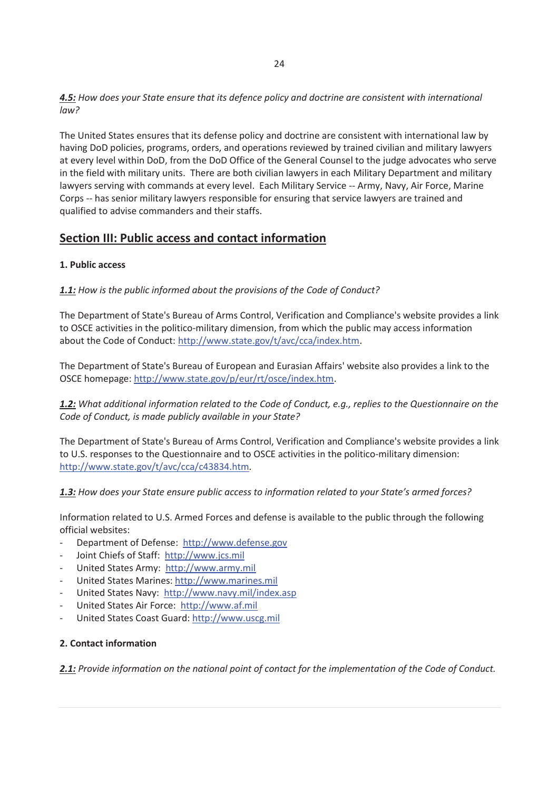*4.5: How does your State ensure that its defence policy and doctrine are consistent with international law?* 

The United States ensures that its defense policy and doctrine are consistent with international law by having DoD policies, programs, orders, and operations reviewed by trained civilian and military lawyers at every level within DoD, from the DoD Office of the General Counsel to the judge advocates who serve in the field with military units. There are both civilian lawyers in each Military Department and military lawyers serving with commands at every level. Each Military Service -- Army, Navy, Air Force, Marine Corps -- has senior military lawyers responsible for ensuring that service lawyers are trained and qualified to advise commanders and their staffs.

# **Section III: Public access and contact information**

# **1. Public access**

*1.1: How is the public informed about the provisions of the Code of Conduct?* 

The Department of State's Bureau of Arms Control, Verification and Compliance's website provides a link to OSCE activities in the politico-military dimension, from which the public may access information about the Code of Conduct: http://www.state.gov/t/avc/cca/index.htm.

The Department of State's Bureau of European and Eurasian Affairs' website also provides a link to the OSCE homepage: http://www.state.gov/p/eur/rt/osce/index.htm.

*1.2: What additional information related to the Code of Conduct, e.g., replies to the Questionnaire on the Code of Conduct, is made publicly available in your State?* 

The Department of State's Bureau of Arms Control, Verification and Compliance's website provides a link to U.S. responses to the Questionnaire and to OSCE activities in the politico-military dimension: http://www.state.gov/t/avc/cca/c43834.htm.

*1.3: How does your State ensure public access to information related to your State's armed forces?* 

Information related to U.S. Armed Forces and defense is available to the public through the following official websites:

- Department of Defense: http://www.defense.gov
- Joint Chiefs of Staff: http://www.jcs.mil
- United States Army: http://www.army.mil
- United States Marines: http://www.marines.mil
- United States Navy: http://www.navy.mil/index.asp
- United States Air Force: http://www.af.mil
- United States Coast Guard: http://www.uscg.mil

# **2. Contact information**

*2.1: Provide information on the national point of contact for the implementation of the Code of Conduct.*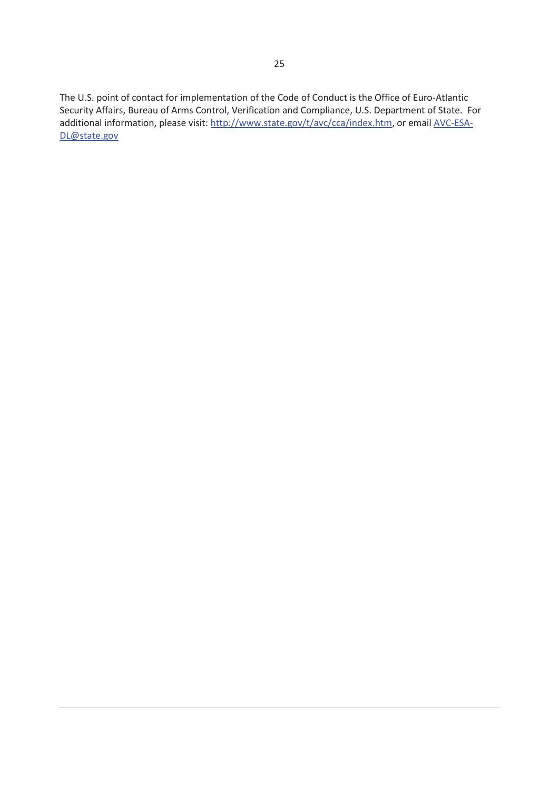The U.S. point of contact for implementation of the Code of Conduct is the Office of Euro-Atlantic Security Affairs, Bureau of Arms Control, Verification and Compliance, U.S. Department of State. For additional information, please visit: http://www.state.gov/t/avc/cca/index.htm, or email AVC-ESA-DL@state.gov